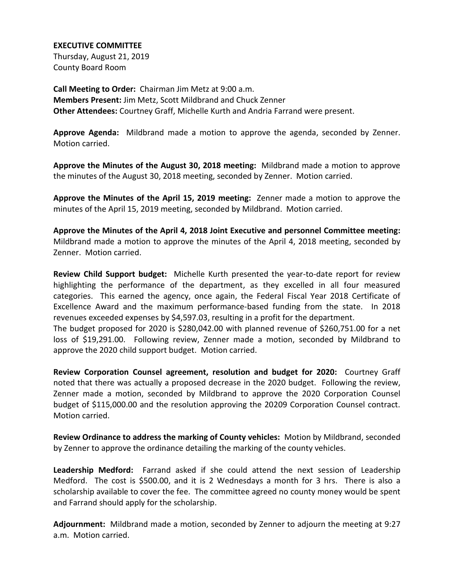## **EXECUTIVE COMMITTEE**

Thursday, August 21, 2019 County Board Room

**Call Meeting to Order:** Chairman Jim Metz at 9:00 a.m. **Members Present:** Jim Metz, Scott Mildbrand and Chuck Zenner **Other Attendees:** Courtney Graff, Michelle Kurth and Andria Farrand were present.

**Approve Agenda:** Mildbrand made a motion to approve the agenda, seconded by Zenner. Motion carried.

**Approve the Minutes of the August 30, 2018 meeting:** Mildbrand made a motion to approve the minutes of the August 30, 2018 meeting, seconded by Zenner. Motion carried.

**Approve the Minutes of the April 15, 2019 meeting:** Zenner made a motion to approve the minutes of the April 15, 2019 meeting, seconded by Mildbrand. Motion carried.

**Approve the Minutes of the April 4, 2018 Joint Executive and personnel Committee meeting:** Mildbrand made a motion to approve the minutes of the April 4, 2018 meeting, seconded by Zenner. Motion carried.

**Review Child Support budget:** Michelle Kurth presented the year-to-date report for review highlighting the performance of the department, as they excelled in all four measured categories. This earned the agency, once again, the Federal Fiscal Year 2018 Certificate of Excellence Award and the maximum performance-based funding from the state. In 2018 revenues exceeded expenses by \$4,597.03, resulting in a profit for the department.

The budget proposed for 2020 is \$280,042.00 with planned revenue of \$260,751.00 for a net loss of \$19,291.00. Following review, Zenner made a motion, seconded by Mildbrand to approve the 2020 child support budget. Motion carried.

**Review Corporation Counsel agreement, resolution and budget for 2020:** Courtney Graff noted that there was actually a proposed decrease in the 2020 budget. Following the review, Zenner made a motion, seconded by Mildbrand to approve the 2020 Corporation Counsel budget of \$115,000.00 and the resolution approving the 20209 Corporation Counsel contract. Motion carried.

**Review Ordinance to address the marking of County vehicles:** Motion by Mildbrand, seconded by Zenner to approve the ordinance detailing the marking of the county vehicles.

**Leadership Medford:** Farrand asked if she could attend the next session of Leadership Medford. The cost is \$500.00, and it is 2 Wednesdays a month for 3 hrs. There is also a scholarship available to cover the fee. The committee agreed no county money would be spent and Farrand should apply for the scholarship.

**Adjournment:** Mildbrand made a motion, seconded by Zenner to adjourn the meeting at 9:27 a.m. Motion carried.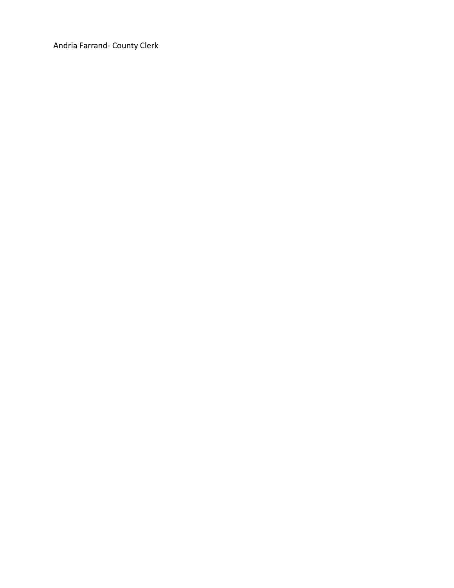Andria Farrand- County Clerk